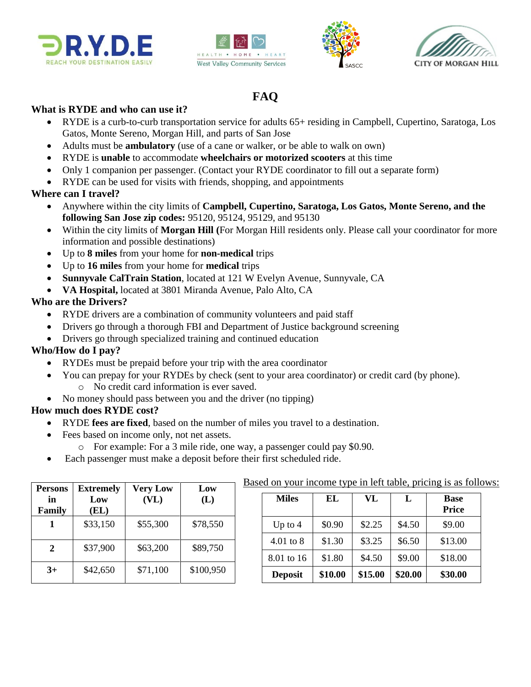







# **FAQ**

#### **What is RYDE and who can use it?**

- RYDE is a curb-to-curb transportation service for adults 65+ residing in Campbell, Cupertino, Saratoga, Los Gatos, Monte Sereno, Morgan Hill, and parts of San Jose
- Adults must be **ambulatory** (use of a cane or walker, or be able to walk on own)
- RYDE is **unable** to accommodate **wheelchairs or motorized scooters** at this time
- Only 1 companion per passenger. (Contact your RYDE coordinator to fill out a separate form)
- RYDE can be used for visits with friends, shopping, and appointments

### **Where can I travel?**

- Anywhere within the city limits of **Campbell, Cupertino, Saratoga, Los Gatos, Monte Sereno, and the following San Jose zip codes:** 95120, 95124, 95129, and 95130
- Within the city limits of **Morgan Hill (**For Morgan Hill residents only. Please call your coordinator for more information and possible destinations)
- Up to **8 miles** from your home for **non-medical** trips
- Up to **16 miles** from your home for **medical** trips
- **Sunnyvale CalTrain Station**, located at 121 W Evelyn Avenue, Sunnyvale, CA
- **VA Hospital,** located at 3801 Miranda Avenue, Palo Alto, CA

## **Who are the Drivers?**

- RYDE drivers are a combination of community volunteers and paid staff
- Drivers go through a thorough FBI and Department of Justice background screening
- Drivers go through specialized training and continued education

## **Who/How do I pay?**

- RYDEs must be prepaid before your trip with the area coordinator
- You can prepay for your RYDEs by check (sent to your area coordinator) or credit card (by phone). o No credit card information is ever saved.
- No money should pass between you and the driver (no tipping)

## **How much does RYDE cost?**

- RYDE **fees are fixed**, based on the number of miles you travel to a destination.
- Fees based on income only, not net assets.
	- o For example: For a 3 mile ride, one way, a passenger could pay \$0.90.
- Each passenger must make a deposit before their first scheduled ride.

| <b>Persons</b>   | <b>Extremely</b> | <b>Very Low</b> | $D$ ascurd the state of $\mu$ and $\mu$ and $\mu$ and $\mu$ and $\mu$ and $\mu$ and $\mu$ and $\mu$ and $\mu$<br>Low |  |                |         |         |         |              |
|------------------|------------------|-----------------|----------------------------------------------------------------------------------------------------------------------|--|----------------|---------|---------|---------|--------------|
| in               | Low              | (VL)            | (L)                                                                                                                  |  | <b>Miles</b>   | EL      | VL      | L       | <b>Base</b>  |
| Family           | (EL)             |                 |                                                                                                                      |  |                |         |         |         | <b>Price</b> |
|                  | \$33,150         | \$55,300        | \$78,550                                                                                                             |  | Up to $4$      | \$0.90  | \$2.25  | \$4.50  | \$9.00       |
| $\boldsymbol{2}$ | \$37,900         | \$63,200        | \$89,750                                                                                                             |  | $4.01$ to $8$  | \$1.30  | \$3.25  | \$6.50  | \$13.00      |
|                  |                  |                 |                                                                                                                      |  | 8.01 to 16     | \$1.80  | \$4.50  | \$9.00  | \$18.00      |
| $3+$             | \$42,650         | \$71,100        | \$100,950                                                                                                            |  | <b>Deposit</b> | \$10.00 | \$15.00 | \$20.00 | \$30.00      |

Based on your income type in left table, pricing is as follows:

 $$13.00$  $$18.00$ **Deposit \$10.00 \$15.00 \$20.00 \$30.00**